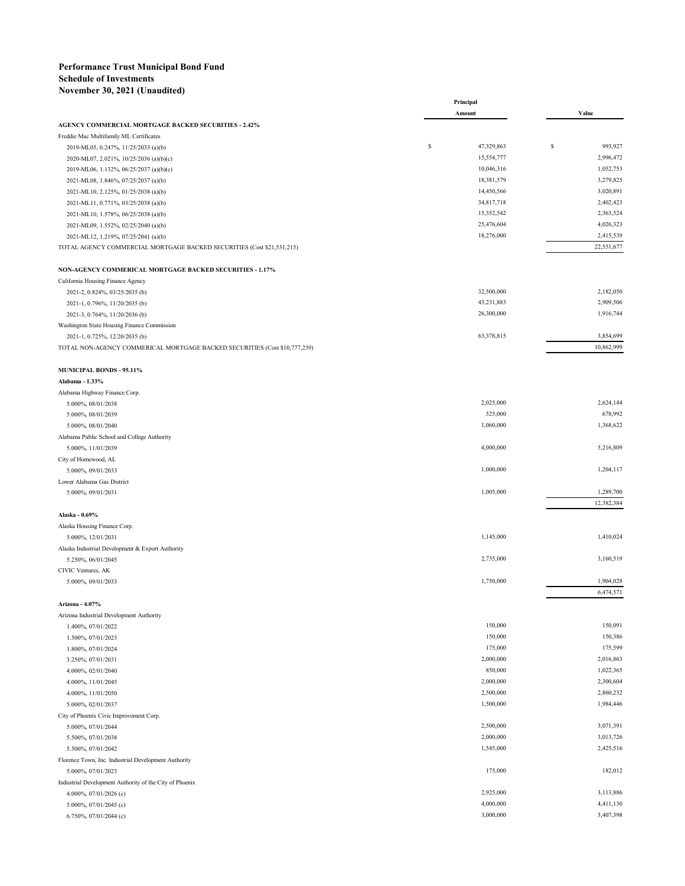## **Performance Trust Municipal Bond Fund Schedule of Investments November 30, 2021 (Unaudited)**

|                                                                            | Principal        |   |                         |
|----------------------------------------------------------------------------|------------------|---|-------------------------|
|                                                                            | Amount           |   | Value                   |
| <b>AGENCY COMMERCIAL MORTGAGE BACKED SECURITIES - 2.42%</b>                |                  |   |                         |
| Freddie Mac Multifamily ML Certificates                                    |                  |   |                         |
| 2019-ML05, 0.247%, 11/25/2033 (a)(b)                                       | \$<br>47,329,863 | S | 993,927                 |
| 2020-ML07, 2.021%, 10/25/2036 (a)(b)(c)                                    | 15,554,777       |   | 2,996,472               |
| 2019-ML06, 1.132%, 06/25/2037 (a)(b)(c)                                    | 10,046,316       |   | 1,052,753               |
| 2021-ML08, 1.846%, 07/25/2037 (a)(b)                                       | 18,381,579       |   | 3,279,825               |
| 2021-ML10, 2.125%, 01/25/2038 (a)(b)                                       | 14,450,566       |   | 3,020,891               |
| 2021-ML11, 0.771%, 03/25/2038 (a)(b)                                       | 34,817,718       |   | 2,402,423               |
| 2021-ML10, 1.578%, 06/25/2038 (a)(b)                                       | 15,352,542       |   | 2,363,524               |
| 2021-ML09, 1.552%, 02/25/2040 (a)(b)                                       | 25,476,604       |   | 4,026,323               |
| 2021-ML12, 1.219%, 07/25/2041 (a)(b)                                       | 18,276,000       |   | 2,415,539               |
| TOTAL AGENCY COMMERCIAL MORTGAGE BACKED SECURITIES (Cost \$21,531,215)     |                  |   | 22,551,677              |
|                                                                            |                  |   |                         |
| NON-AGENCY COMMERICAL MORTGAGE BACKED SECURITIES - 1.17%                   |                  |   |                         |
| California Housing Finance Agency                                          |                  |   |                         |
| 2021-2, 0.824%, 03/25/2035 (b)                                             | 32,500,000       |   | 2,182,050               |
| 2021-1, 0.796%, 11/20/2035 (b)                                             | 43,231,883       |   | 2,909,506               |
| 2021-3, 0.764%, 11/20/2036 (b)                                             | 26,300,000       |   | 1,916,744               |
| Washington State Housing Finance Commission                                |                  |   |                         |
| 2021-1, 0.725%, 12/20/2035 (b)                                             | 63,378,815       |   | 3,854,699               |
| TOTAL NON-AGENCY COMMERICAL MORTGAGE BACKED SECURITIES (Cost \$10,777,239) |                  |   | 10,862,999              |
| <b>MUNICIPAL BONDS - 95.11%</b>                                            |                  |   |                         |
| Alabama - 1.33%                                                            |                  |   |                         |
| Alabama Highway Finance Corp.                                              |                  |   |                         |
| 5.000%, 08/01/2038                                                         | 2,025,000        |   | 2,624,144               |
| 5.000%, 08/01/2039                                                         | 525,000          |   | 678,992                 |
| 5.000%, 08/01/2040                                                         | 1,060,000        |   | 1,368,622               |
| Alabama Public School and College Authority                                |                  |   |                         |
| 5.000%, 11/01/2039                                                         | 4,000,000        |   | 5,216,809               |
|                                                                            |                  |   |                         |
| City of Homewood, AL                                                       |                  |   |                         |
| 5.000%, 09/01/2033                                                         | 1,000,000        |   | 1,204,117               |
| Lower Alabama Gas District                                                 |                  |   |                         |
| 5.000%, 09/01/2031                                                         | 1,005,000        |   | 1,289,700<br>12,382,384 |
| Alaska - 0.69%                                                             |                  |   |                         |
| Alaska Housing Finance Corp.                                               |                  |   |                         |
|                                                                            | 1,145,000        |   | 1,410,024               |
| 5.000%, 12/01/2031                                                         |                  |   |                         |
| Alaska Industrial Development & Export Authority                           |                  |   |                         |
| 5.250%, 06/01/2045                                                         | 2,735,000        |   | 3,160,519               |
| CIVIC Ventures, AK                                                         |                  |   |                         |
| 5.000%, 09/01/2033                                                         | 1,750,000        |   | 1,904,028               |
|                                                                            |                  |   | 6,474,571               |
| Arizona - 4.07%                                                            |                  |   |                         |
| Arizona Industrial Development Authority                                   |                  |   |                         |
| 1.400%, 07/01/2022                                                         | 150,000          |   | 150,091                 |
| 1.500%, 07/01/2023                                                         | 150,000          |   | 150,386                 |
| 1.800%, 07/01/2024                                                         | 175,000          |   | 175,599                 |
| 3.250%, 07/01/2031                                                         | 2,000,000        |   | 2,016,863               |
| 4.000%, 02/01/2040                                                         | 850,000          |   | 1,022,365               |
| 4.000%, 11/01/2045                                                         | 2,000,000        |   | 2,300,604               |
| 4.000%, 11/01/2050                                                         | 2,500,000        |   | 2,860,232               |
| 5.000%, 02/01/2037                                                         | 1,500,000        |   | 1,984,446               |
| City of Phoenix Civic Improvement Corp.                                    |                  |   |                         |
| 5.000%, 07/01/2044                                                         | 2,500,000        |   | 3,071,391               |
|                                                                            | 2,000,000        |   | 3,013,726               |
| 5.500%, 07/01/2038                                                         |                  |   |                         |
| 5.500%, 07/01/2042                                                         | 1,545,000        |   | 2,425,516               |
| Florence Town, Inc. Industrial Development Authority                       |                  |   |                         |
| 5.000%, 07/01/2023                                                         | 175,000          |   | 182,012                 |
| Industrial Development Authority of the City of Phoenix                    |                  |   |                         |
| 4.000%, 07/01/2026 (c)                                                     | 2,925,000        |   | 3,113,886               |
| 5.000%, 07/01/2045 (c)                                                     | 4,000,000        |   | 4,411,130               |
| 6.750%, 07/01/2044 (c)                                                     | 3,000,000        |   | 3,407,398               |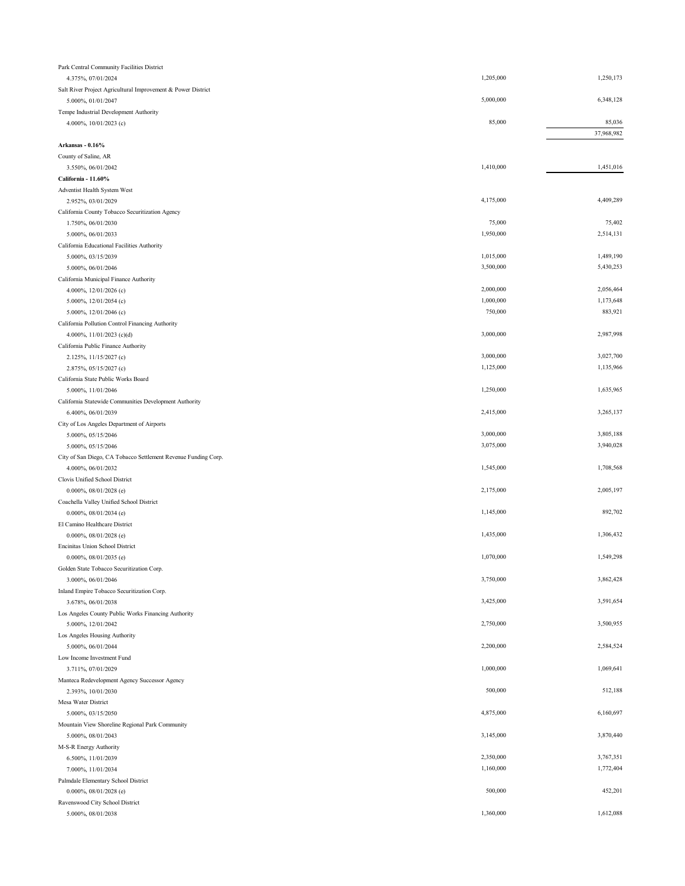| Park Central Community Facilities District                                           |           |                      |
|--------------------------------------------------------------------------------------|-----------|----------------------|
| 4.375%, 07/01/2024                                                                   | 1,205,000 | 1,250,173            |
| Salt River Project Agricultural Improvement & Power District                         |           |                      |
| 5.000%, 01/01/2047                                                                   | 5,000,000 | 6,348,128            |
| Tempe Industrial Development Authority                                               |           |                      |
| 4.000%, 10/01/2023 (c)                                                               | 85,000    | 85,036<br>37,968,982 |
| Arkansas - 0.16%                                                                     |           |                      |
| County of Saline, AR                                                                 |           |                      |
| 3.550%, 06/01/2042                                                                   | 1,410,000 | 1,451,016            |
| California - 11.60%                                                                  |           |                      |
| Adventist Health System West                                                         |           |                      |
| 2.952%, 03/01/2029                                                                   | 4,175,000 | 4,409,289            |
| California County Tobacco Securitization Agency                                      |           |                      |
| 1.750%, 06/01/2030                                                                   | 75,000    | 75,402               |
| 5.000%, 06/01/2033                                                                   | 1,950,000 | 2,514,131            |
| California Educational Facilities Authority                                          |           |                      |
| 5.000%, 03/15/2039                                                                   | 1,015,000 | 1,489,190            |
| 5.000%, 06/01/2046                                                                   | 3,500,000 | 5,430,253            |
| California Municipal Finance Authority                                               |           |                      |
| 4.000%, 12/01/2026 (c)                                                               | 2,000,000 | 2,056,464            |
| 5.000%, 12/01/2054 (c)                                                               | 1,000,000 | 1,173,648            |
| 5.000%, 12/01/2046 (c)                                                               | 750,000   | 883,921              |
| California Pollution Control Financing Authority                                     |           |                      |
| 4.000%, $11/01/2023$ (c)(d)                                                          | 3,000,000 | 2,987,998            |
| California Public Finance Authority                                                  |           |                      |
| 2.125%, 11/15/2027 (c)                                                               | 3,000,000 | 3,027,700            |
| 2.875%, 05/15/2027 (c)                                                               | 1,125,000 | 1,135,966            |
| California State Public Works Board                                                  |           |                      |
| 5.000%, 11/01/2046                                                                   | 1,250,000 | 1,635,965            |
| California Statewide Communities Development Authority                               |           |                      |
| 6.400%, 06/01/2039                                                                   | 2,415,000 | 3,265,137            |
| City of Los Angeles Department of Airports                                           | 3,000,000 | 3,805,188            |
| 5.000%, 05/15/2046                                                                   | 3,075,000 | 3,940,028            |
| 5.000%, 05/15/2046                                                                   |           |                      |
| City of San Diego, CA Tobacco Settlement Revenue Funding Corp.<br>4.000%, 06/01/2032 | 1,545,000 | 1,708,568            |
| Clovis Unified School District                                                       |           |                      |
| 0.000%, 08/01/2028 (e)                                                               | 2,175,000 | 2,005,197            |
| Coachella Valley Unified School District                                             |           |                      |
| $0.000\%, 08/01/2034$ (e)                                                            | 1,145,000 | 892,702              |
| El Camino Healthcare District                                                        |           |                      |
| 0.000%, 08/01/2028 (e)                                                               | 1,435,000 | 1,306,432            |
| Encinitas Union School District                                                      |           |                      |
| 0.000%, 08/01/2035 (e)                                                               | 1,070,000 | 1,549,298            |
| Golden State Tobacco Securitization Corp.                                            |           |                      |
| 3.000%, 06/01/2046                                                                   | 3,750,000 | 3,862,428            |
| Inland Empire Tobacco Securitization Corp.                                           |           |                      |
| 3.678%, 06/01/2038                                                                   | 3,425,000 | 3,591,654            |
| Los Angeles County Public Works Financing Authority                                  |           |                      |
| 5.000%, 12/01/2042                                                                   | 2,750,000 | 3,500,955            |
| Los Angeles Housing Authority                                                        |           |                      |
| 5.000%, 06/01/2044                                                                   | 2,200,000 | 2,584,524            |
| Low Income Investment Fund                                                           |           |                      |
| 3.711%, 07/01/2029                                                                   | 1,000,000 | 1,069,641            |
| Manteca Redevelopment Agency Successor Agency                                        |           |                      |
| 2.393%, 10/01/2030                                                                   | 500,000   | 512,188              |
| Mesa Water District                                                                  |           |                      |
| 5.000%, 03/15/2050                                                                   | 4,875,000 | 6,160,697            |
| Mountain View Shoreline Regional Park Community                                      |           | 3,870,440            |
| 5.000%, 08/01/2043                                                                   | 3,145,000 |                      |
| M-S-R Energy Authority<br>6.500%, 11/01/2039                                         | 2,350,000 | 3,767,351            |
| 7.000%, 11/01/2034                                                                   | 1,160,000 | 1,772,404            |
| Palmdale Elementary School District                                                  |           |                      |
| 0.000%, 08/01/2028 (e)                                                               | 500,000   | 452,201              |
| Ravenswood City School District                                                      |           |                      |
| 5.000%, 08/01/2038                                                                   | 1,360,000 | 1,612,088            |
|                                                                                      |           |                      |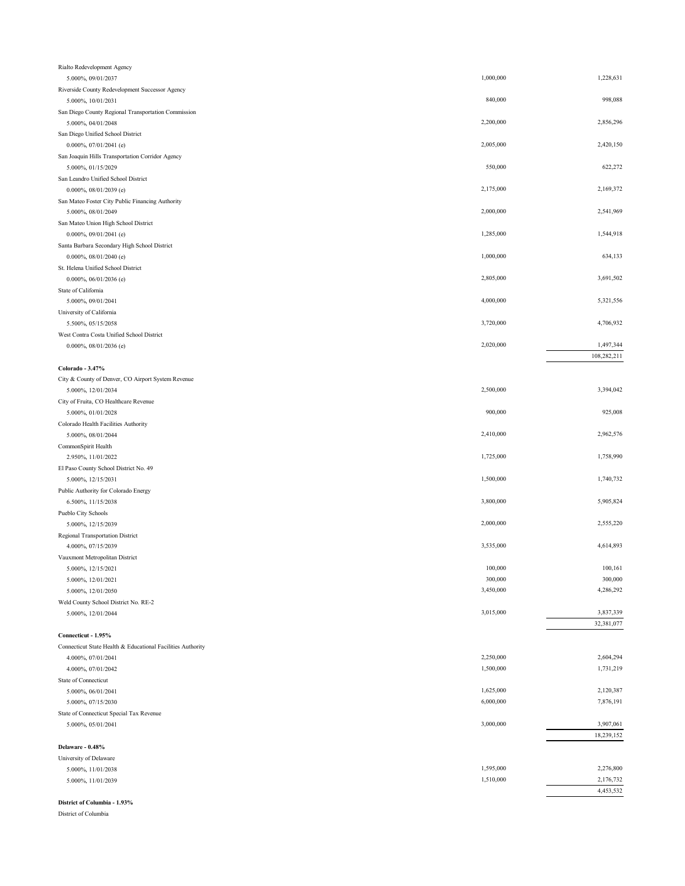| Rialto Redevelopment Agency                                       |           |             |
|-------------------------------------------------------------------|-----------|-------------|
| 5.000%, 09/01/2037                                                | 1,000,000 | 1,228,631   |
| Riverside County Redevelopment Successor Agency                   |           |             |
| 5.000%, 10/01/2031                                                | 840,000   | 998,088     |
| San Diego County Regional Transportation Commission               |           |             |
| 5.000%, 04/01/2048                                                | 2,200,000 | 2,856,296   |
| San Diego Unified School District                                 |           |             |
| 0.000%, 07/01/2041 (e)                                            | 2,005,000 | 2,420,150   |
| San Joaquin Hills Transportation Corridor Agency                  | 550,000   | 622,272     |
| 5.000%, 01/15/2029                                                |           |             |
| San Leandro Unified School District<br>$0.000\%$ , 08/01/2039 (e) | 2,175,000 | 2,169,372   |
| San Mateo Foster City Public Financing Authority                  |           |             |
| 5.000%, 08/01/2049                                                | 2,000,000 | 2,541,969   |
| San Mateo Union High School District                              |           |             |
| 0.000%, 09/01/2041 (e)                                            | 1,285,000 | 1,544,918   |
| Santa Barbara Secondary High School District                      |           |             |
| 0.000%, 08/01/2040 (e)                                            | 1,000,000 | 634,133     |
| St. Helena Unified School District                                |           |             |
| 0.000%, 06/01/2036 (e)                                            | 2,805,000 | 3,691,502   |
| State of California                                               |           |             |
| 5.000%, 09/01/2041                                                | 4,000,000 | 5,321,556   |
| University of California                                          |           |             |
| 5.500%, 05/15/2058                                                | 3,720,000 | 4,706,932   |
| West Contra Costa Unified School District                         |           |             |
| $0.000\%, 08/01/2036$ (e)                                         | 2,020,000 | 1,497,344   |
|                                                                   |           | 108,282,211 |
| Colorado - 3.47%                                                  |           |             |
| City & County of Denver, CO Airport System Revenue                |           |             |
| 5.000%, 12/01/2034                                                | 2,500,000 | 3,394,042   |
| City of Fruita, CO Healthcare Revenue                             |           |             |
| 5.000%, 01/01/2028                                                | 900,000   | 925,008     |
| Colorado Health Facilities Authority                              |           |             |
| 5.000%, 08/01/2044                                                | 2,410,000 | 2,962,576   |
| CommonSpirit Health                                               |           |             |
| 2.950%, 11/01/2022                                                | 1,725,000 | 1,758,990   |
| El Paso County School District No. 49                             |           |             |
| 5.000%, 12/15/2031                                                | 1,500,000 | 1,740,732   |
| Public Authority for Colorado Energy                              |           |             |
| 6.500%, 11/15/2038                                                | 3,800,000 | 5,905,824   |
| Pueblo City Schools                                               |           |             |
| 5.000%, 12/15/2039                                                | 2,000,000 | 2,555,220   |
| Regional Transportation District                                  |           |             |
| 4.000%, 07/15/2039                                                | 3,535,000 | 4,614,893   |
| Vauxmont Metropolitan District                                    |           |             |
| 5.000%, 12/15/2021                                                | 100,000   | 100,161     |
| 5.000%, 12/01/2021                                                | 300,000   | 300,000     |
| 5.000%, 12/01/2050                                                | 3,450,000 | 4,286,292   |
| Weld County School District No. RE-2                              |           |             |
| 5.000%, 12/01/2044                                                | 3,015,000 | 3,837,339   |
|                                                                   |           | 32,381,077  |
| Connecticut - 1.95%                                               |           |             |
| Connecticut State Health & Educational Facilities Authority       |           |             |
| 4.000%, 07/01/2041                                                | 2,250,000 | 2,604,294   |
| 4.000%, 07/01/2042                                                | 1,500,000 | 1,731,219   |
| State of Connecticut                                              |           |             |
| 5.000%, 06/01/2041                                                | 1,625,000 | 2,120,387   |
| 5.000%, 07/15/2030                                                | 6,000,000 | 7,876,191   |
| State of Connecticut Special Tax Revenue                          |           |             |
| 5.000%, 05/01/2041                                                | 3,000,000 | 3,907,061   |
|                                                                   |           | 18,239,152  |
| Delaware - 0.48%                                                  |           |             |
| University of Delaware                                            |           |             |
| 5.000%, 11/01/2038                                                | 1,595,000 | 2,276,800   |
| 5.000%, 11/01/2039                                                | 1,510,000 | 2,176,732   |
|                                                                   |           | 4,453,532   |

## **District of Columbia - 1.93%**

District of Columbia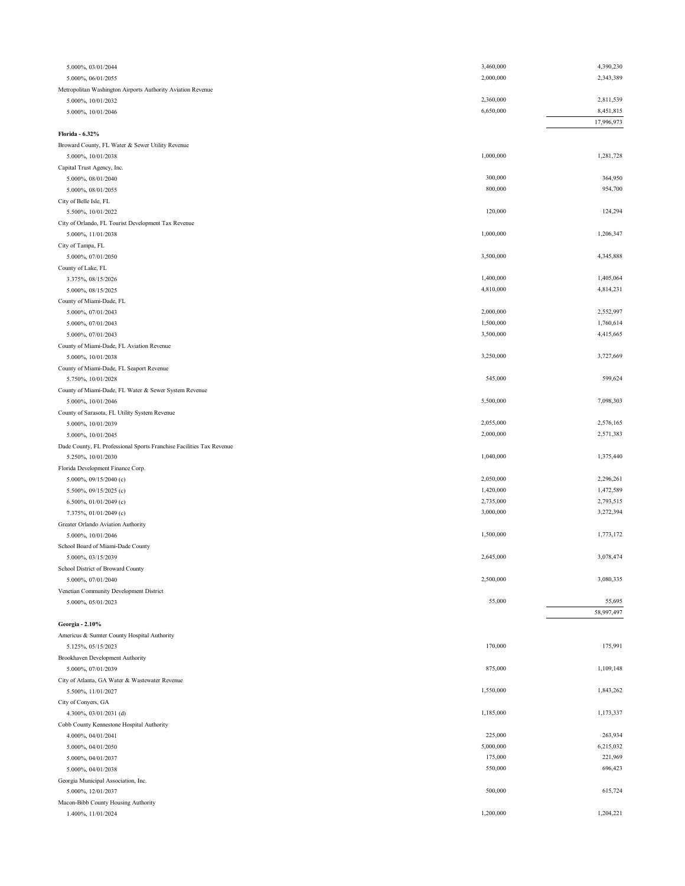| 5.000%, 03/01/2044                                                   | 3,460,000 | 4,390,230  |
|----------------------------------------------------------------------|-----------|------------|
| 5.000%, 06/01/2055                                                   | 2,000,000 | 2,343,389  |
| Metropolitan Washington Airports Authority Aviation Revenue          |           |            |
| 5.000%, 10/01/2032                                                   | 2,360,000 | 2,811,539  |
| 5.000%, 10/01/2046                                                   | 6,650,000 | 8,451,815  |
|                                                                      |           | 17,996,973 |
| Florida - 6.32%                                                      |           |            |
| Broward County, FL Water & Sewer Utility Revenue                     |           |            |
| 5.000%, 10/01/2038                                                   | 1,000,000 | 1,281,728  |
| Capital Trust Agency, Inc.                                           |           |            |
| 5.000%, 08/01/2040                                                   | 300,000   | 364,950    |
| 5.000%, 08/01/2055                                                   | 800,000   | 954,700    |
| City of Belle Isle, FL                                               |           |            |
| 5.500%, 10/01/2022                                                   | 120,000   | 124,294    |
| City of Orlando, FL Tourist Development Tax Revenue                  |           |            |
| 5.000%, 11/01/2038                                                   | 1,000,000 | 1,206,347  |
| City of Tampa, FL                                                    |           |            |
| 5.000%, 07/01/2050                                                   | 3,500,000 | 4,345,888  |
| County of Lake, FL                                                   |           |            |
| 3.375%, 08/15/2026                                                   | 1,400,000 | 1,405,064  |
| 5.000%, 08/15/2025                                                   | 4,810,000 | 4,814,231  |
| County of Miami-Dade, FL                                             |           |            |
| 5.000%, 07/01/2043                                                   | 2,000,000 | 2,552,997  |
| 5.000%, 07/01/2043                                                   | 1,500,000 | 1,760,614  |
| 5.000%, 07/01/2043                                                   | 3,500,000 | 4,415,665  |
| County of Miami-Dade, FL Aviation Revenue                            |           |            |
| 5.000%, 10/01/2038                                                   | 3,250,000 | 3,727,669  |
| County of Miami-Dade, FL Seaport Revenue                             |           |            |
| 5.750%, 10/01/2028                                                   | 545,000   | 599,624    |
| County of Miami-Dade, FL Water & Sewer System Revenue                |           |            |
| 5.000%, 10/01/2046                                                   | 5,500,000 | 7,098,303  |
| County of Sarasota, FL Utility System Revenue                        |           |            |
| 5.000%, 10/01/2039                                                   | 2,055,000 | 2,576,165  |
| 5.000%, 10/01/2045                                                   | 2,000,000 | 2,571,383  |
| Dade County, FL Professional Sports Franchise Facilities Tax Revenue |           |            |
| 5.250%, 10/01/2030                                                   | 1,040,000 | 1,375,440  |
| Florida Development Finance Corp.                                    |           |            |
| 5.000%, 09/15/2040 (c)                                               | 2,050,000 | 2,296,261  |
| 5.500%, 09/15/2025 (c)                                               | 1,420,000 | 1,472,589  |
| 6.500%, 01/01/2049 (c)                                               | 2,735,000 | 2,793,515  |
| 7.375%, 01/01/2049 (c)                                               | 3,000,000 | 3,272,394  |
| Greater Orlando Aviation Authority                                   |           |            |
| 5.000%, 10/01/2046                                                   | 1,500,000 | 1,773,172  |
| School Board of Miami-Dade County                                    |           |            |
| 5.000%, 03/15/2039                                                   | 2,645,000 | 3,078,474  |
| School District of Broward County                                    |           |            |
| 5.000%, 07/01/2040                                                   | 2,500,000 | 3,080,335  |
| Venetian Community Development District                              |           |            |
| 5.000%, 05/01/2023                                                   | 55,000    | 55,695     |
|                                                                      |           | 58,997,497 |
| Georgia - 2.10%                                                      |           |            |
| Americus & Sumter County Hospital Authority                          |           |            |
| 5.125%, 05/15/2023                                                   | 170,000   | 175,991    |
| Brookhaven Development Authority                                     |           |            |
| 5.000%, 07/01/2039                                                   | 875,000   | 1,109,148  |
| City of Atlanta, GA Water & Wastewater Revenue                       |           |            |
| 5.500%, 11/01/2027                                                   | 1,550,000 | 1,843,262  |
| City of Conyers, GA                                                  |           |            |
| 4.300%, 03/01/2031 (d)                                               | 1,185,000 | 1,173,337  |
| Cobb County Kennestone Hospital Authority                            |           |            |
| 4.000%, 04/01/2041                                                   | 225,000   | 263,934    |
| 5.000%, 04/01/2050                                                   | 5,000,000 | 6,215,032  |
| 5.000%, 04/01/2037                                                   | 175,000   | 221,969    |
| 5.000%, 04/01/2038                                                   | 550,000   | 696,423    |
| Georgia Municipal Association, Inc.                                  |           |            |
| 5.000%, 12/01/2037                                                   | 500,000   | 615,724    |
| Macon-Bibb County Housing Authority                                  |           |            |
| 1.400%, 11/01/2024                                                   | 1,200,000 | 1,204,221  |
|                                                                      |           |            |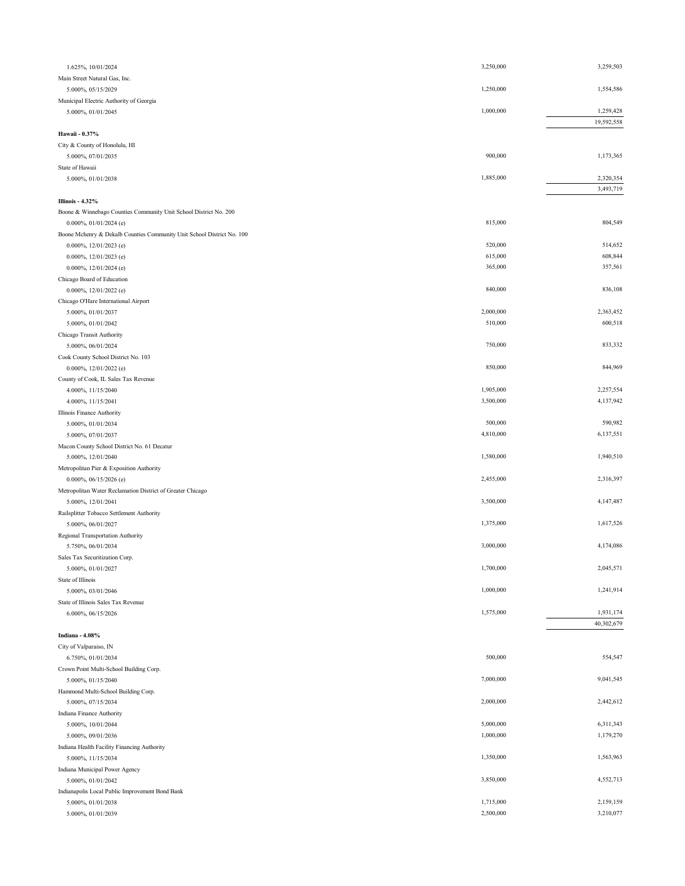| 1.625%, 10/01/2024                                                     | 3,250,000              | 3,259,503              |
|------------------------------------------------------------------------|------------------------|------------------------|
| Main Street Natural Gas, Inc.                                          |                        |                        |
| 5.000%, 05/15/2029                                                     | 1,250,000              | 1,554,586              |
| Municipal Electric Authority of Georgia                                |                        |                        |
| 5.000%, 01/01/2045                                                     | 1,000,000              | 1,259,428              |
|                                                                        |                        | 19,592,558             |
| Hawaii - 0.37%                                                         |                        |                        |
| City & County of Honolulu, HI<br>5.000%, 07/01/2035                    | 900,000                | 1,173,365              |
| State of Hawaii                                                        |                        |                        |
| 5.000%, 01/01/2038                                                     | 1,885,000              | 2,320,354              |
|                                                                        |                        | 3,493,719              |
| <b>Illinois - 4.32%</b>                                                |                        |                        |
| Boone & Winnebago Counties Community Unit School District No. 200      |                        |                        |
| $0.000\%$ , $01/01/2024$ (e)                                           | 815,000                | 804,549                |
| Boone Mchenry & Dekalb Counties Community Unit School District No. 100 |                        |                        |
| 0.000%, $12/01/2023$ (e)                                               | 520,000                | 514,652                |
| 0.000%, $12/01/2023$ (e)                                               | 615,000<br>365,000     | 608,844<br>357,561     |
| 0.000%, $12/01/2024$ (e)<br>Chicago Board of Education                 |                        |                        |
| 0.000%, $12/01/2022$ (e)                                               | 840,000                | 836,108                |
| Chicago O'Hare International Airport                                   |                        |                        |
| 5.000%, 01/01/2037                                                     | 2,000,000              | 2,363,452              |
| 5.000%, 01/01/2042                                                     | 510,000                | 600,518                |
| Chicago Transit Authority                                              |                        |                        |
| 5.000%, 06/01/2024                                                     | 750,000                | 833,332                |
| Cook County School District No. 103                                    |                        |                        |
| 0.000%, $12/01/2022$ (e)                                               | 850,000                | 844,969                |
| County of Cook, IL Sales Tax Revenue                                   |                        |                        |
| 4.000%, 11/15/2040                                                     | 1,905,000              | 2,257,554              |
| 4.000%, 11/15/2041                                                     | 3,500,000              | 4,137,942              |
| Illinois Finance Authority<br>5.000%, 01/01/2034                       | 500,000                | 590,982                |
| 5.000%, 07/01/2037                                                     | 4,810,000              | 6,137,551              |
| Macon County School District No. 61 Decatur                            |                        |                        |
| 5.000%, 12/01/2040                                                     | 1,580,000              | 1,940,510              |
| Metropolitan Pier & Exposition Authority                               |                        |                        |
| 0.000%, 06/15/2026 (e)                                                 | 2,455,000              | 2,316,397              |
| Metropolitan Water Reclamation District of Greater Chicago             |                        |                        |
| 5.000%, 12/01/2041                                                     | 3,500,000              | 4,147,487              |
| Railsplitter Tobacco Settlement Authority                              |                        |                        |
| 5.000%, 06/01/2027                                                     | 1,375,000              | 1,617,526              |
| Regional Transportation Authority<br>5.750%, 06/01/2034                | 3,000,000              | 4,174,086              |
| Sales Tax Securitization Corp.                                         |                        |                        |
| 5.000%, 01/01/2027                                                     | 1,700,000              | 2,045,571              |
| State of Illinois                                                      |                        |                        |
| 5.000%, 03/01/2046                                                     | 1,000,000              | 1,241,914              |
| State of Illinois Sales Tax Revenue                                    |                        |                        |
| 6.000%, 06/15/2026                                                     | 1,575,000              | 1,931,174              |
|                                                                        |                        | 40,302,679             |
| Indiana - 4.08%                                                        |                        |                        |
| City of Valparaiso, IN                                                 |                        |                        |
| 6.750%, 01/01/2034                                                     | 500,000                | 554,547                |
| Crown Point Multi-School Building Corp.<br>5.000%, 01/15/2040          | 7,000,000              | 9,041,545              |
| Hammond Multi-School Building Corp.                                    |                        |                        |
| 5.000%, 07/15/2034                                                     | 2,000,000              | 2,442,612              |
| Indiana Finance Authority                                              |                        |                        |
| 5.000%, 10/01/2044                                                     | 5,000,000              | 6,311,343              |
| 5.000%, 09/01/2036                                                     | 1,000,000              | 1,179,270              |
| Indiana Health Facility Financing Authority                            |                        |                        |
| 5.000%, 11/15/2034                                                     | 1,350,000              | 1,563,963              |
| Indiana Municipal Power Agency                                         |                        |                        |
| 5.000%, 01/01/2042                                                     | 3,850,000              | 4,552,713              |
| Indianapolis Local Public Improvement Bond Bank                        |                        |                        |
| 5.000%, 01/01/2038<br>5.000%, 01/01/2039                               | 1,715,000<br>2,500,000 | 2,159,159<br>3,210,077 |
|                                                                        |                        |                        |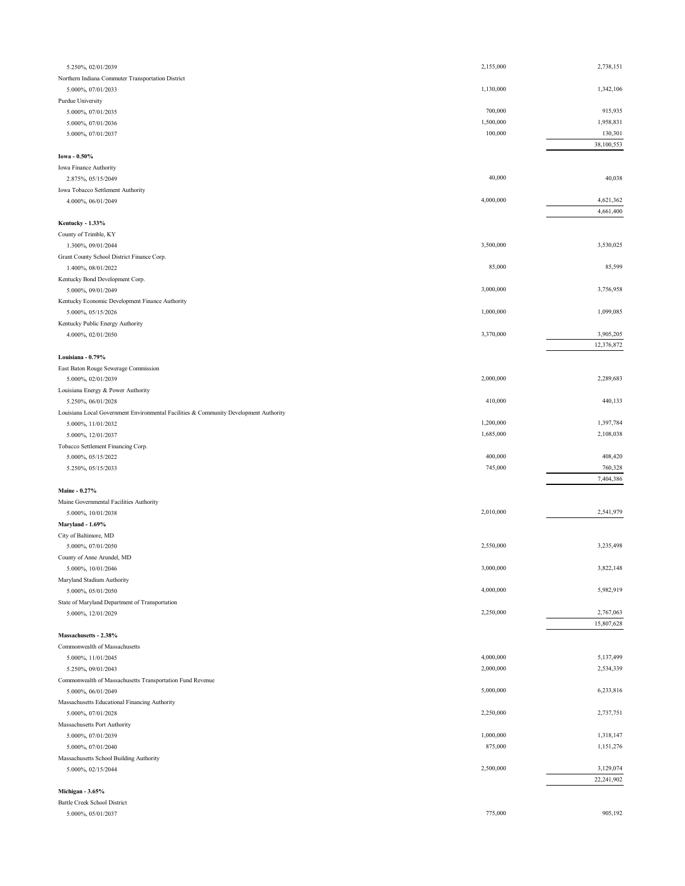| 5.250%, 02/01/2039                                                                                          | 2,155,000              | 2,738,151              |
|-------------------------------------------------------------------------------------------------------------|------------------------|------------------------|
| Northern Indiana Commuter Transportation District                                                           |                        |                        |
| 5.000%, 07/01/2033                                                                                          | 1,130,000              | 1,342,106              |
| Purdue University                                                                                           |                        |                        |
| 5.000%, 07/01/2035                                                                                          | 700,000                | 915,935                |
| 5.000%, 07/01/2036                                                                                          | 1,500,000              | 1,958,831              |
| 5.000%, 07/01/2037                                                                                          | 100,000                | 130,301<br>38,100,553  |
| Iowa - 0.50%                                                                                                |                        |                        |
| Iowa Finance Authority                                                                                      |                        |                        |
| 2.875%, 05/15/2049                                                                                          | 40,000                 | 40,038                 |
| Iowa Tobacco Settlement Authority                                                                           |                        |                        |
| 4.000%, 06/01/2049                                                                                          | 4,000,000              | 4,621,362              |
|                                                                                                             |                        | 4,661,400              |
| Kentucky - 1.33%                                                                                            |                        |                        |
| County of Trimble, KY                                                                                       |                        |                        |
| 1.300%, 09/01/2044                                                                                          | 3,500,000              | 3,530,025              |
| Grant County School District Finance Corp.                                                                  | 85,000                 | 85,599                 |
| 1.400%, 08/01/2022<br>Kentucky Bond Development Corp.                                                       |                        |                        |
| 5.000%, 09/01/2049                                                                                          | 3,000,000              | 3,756,958              |
| Kentucky Economic Development Finance Authority                                                             |                        |                        |
| 5.000%, 05/15/2026                                                                                          | 1,000,000              | 1,099,085              |
| Kentucky Public Energy Authority                                                                            |                        |                        |
| 4.000%, 02/01/2050                                                                                          | 3,370,000              | 3,905,205              |
|                                                                                                             |                        | 12,376,872             |
| Louisiana - 0.79%                                                                                           |                        |                        |
| East Baton Rouge Sewerage Commission                                                                        |                        |                        |
| 5.000%, 02/01/2039                                                                                          | 2,000,000              | 2,289,683              |
| Louisiana Energy & Power Authority                                                                          | 410,000                | 440,133                |
| 5.250%, 06/01/2028<br>Louisiana Local Government Environmental Facilities & Community Development Authority |                        |                        |
| 5.000%, 11/01/2032                                                                                          | 1,200,000              | 1,397,784              |
| 5.000%, 12/01/2037                                                                                          | 1,685,000              | 2,108,038              |
| Tobacco Settlement Financing Corp.                                                                          |                        |                        |
| 5.000%, 05/15/2022                                                                                          | 400,000                | 408,420                |
| 5.250%, 05/15/2033                                                                                          | 745,000                | 760,328                |
|                                                                                                             |                        | 7,404,386              |
| Maine - 0.27%                                                                                               |                        |                        |
| Maine Governmental Facilities Authority                                                                     |                        |                        |
| 5.000%, 10/01/2038                                                                                          | 2,010,000              | 2,541,979              |
| Maryland - 1.69%<br>City of Baltimore, MD                                                                   |                        |                        |
| 5.000%, 07/01/2050                                                                                          | 2,550,000              | 3,235,498              |
| County of Anne Arundel, MD                                                                                  |                        |                        |
| 5.000%, 10/01/2046                                                                                          | 3,000,000              | 3,822,148              |
| Maryland Stadium Authority                                                                                  |                        |                        |
| 5.000%, 05/01/2050                                                                                          | 4,000,000              | 5,982,919              |
| State of Maryland Department of Transportation                                                              |                        |                        |
| 5.000%, 12/01/2029                                                                                          | 2,250,000              | 2,767,063              |
|                                                                                                             |                        | 15,807,628             |
| Massachusetts - 2.38%                                                                                       |                        |                        |
| Commonwealth of Massachusetts                                                                               |                        |                        |
| 5.000%, 11/01/2045<br>5.250%, 09/01/2043                                                                    | 4,000,000<br>2,000,000 | 5,137,499<br>2,534,339 |
| Commonwealth of Massachusetts Transportation Fund Revenue                                                   |                        |                        |
| 5.000%, 06/01/2049                                                                                          | 5,000,000              | 6,233,816              |
| Massachusetts Educational Financing Authority                                                               |                        |                        |
| 5.000%, 07/01/2028                                                                                          | 2,250,000              | 2,737,751              |
| Massachusetts Port Authority                                                                                |                        |                        |
| 5.000%, 07/01/2039                                                                                          | 1,000,000              | 1,318,147              |
| 5.000%, 07/01/2040                                                                                          | 875,000                | 1,151,276              |
| Massachusetts School Building Authority                                                                     |                        |                        |
| 5.000%, 02/15/2044                                                                                          | 2,500,000              | 3,129,074              |
| Michigan - 3.65%                                                                                            |                        | 22,241,902             |
| <b>Battle Creek School District</b>                                                                         |                        |                        |
|                                                                                                             | 775,000                | 905,192                |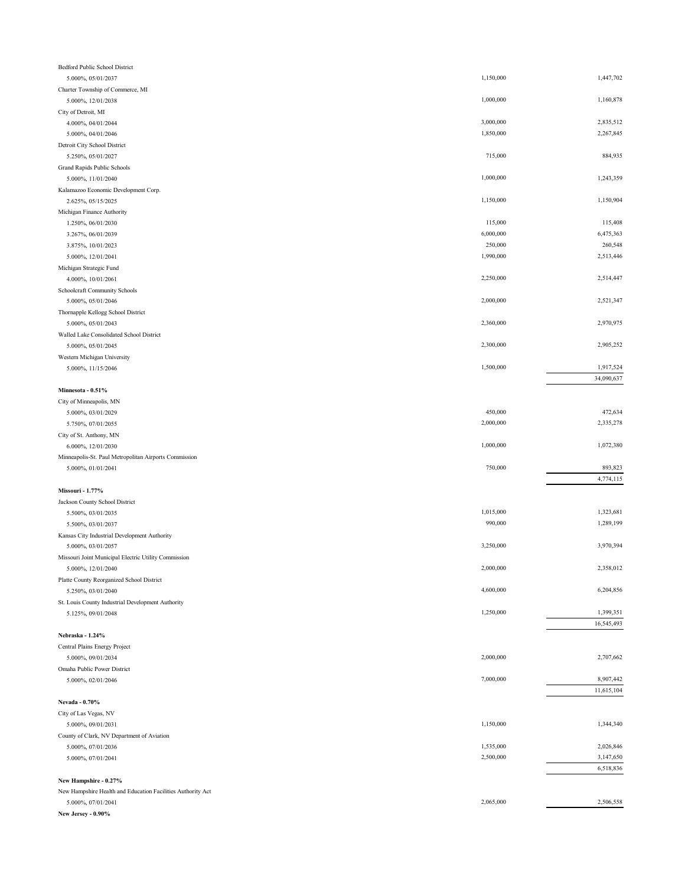| <b>Bedford Public School District</b>                       |           |            |
|-------------------------------------------------------------|-----------|------------|
| 5.000%, 05/01/2037                                          | 1,150,000 | 1,447,702  |
| Charter Township of Commerce, MI                            |           |            |
| 5.000%, 12/01/2038                                          | 1,000,000 | 1,160,878  |
| City of Detroit, MI                                         |           |            |
| 4.000%, 04/01/2044                                          | 3,000,000 | 2,835,512  |
| 5.000%, 04/01/2046                                          | 1,850,000 | 2,267,845  |
| Detroit City School District                                |           |            |
| 5.250%, 05/01/2027                                          | 715,000   | 884,935    |
| Grand Rapids Public Schools                                 |           |            |
| 5.000%, 11/01/2040                                          | 1,000,000 | 1,243,359  |
| Kalamazoo Economic Development Corp.                        |           |            |
| 2.625%, 05/15/2025                                          | 1,150,000 | 1,150,904  |
| Michigan Finance Authority                                  |           |            |
| 1.250%, 06/01/2030                                          | 115,000   | 115,408    |
| 3.267%, 06/01/2039                                          | 6,000,000 | 6,475,363  |
| 3.875%, 10/01/2023                                          | 250,000   | 260,548    |
| 5.000%, 12/01/2041                                          | 1,990,000 | 2,513,446  |
| Michigan Strategic Fund                                     |           |            |
| 4.000%, 10/01/2061                                          | 2,250,000 | 2,514,447  |
| Schoolcraft Community Schools                               |           |            |
| 5.000%, 05/01/2046                                          | 2,000,000 | 2,521,347  |
| Thornapple Kellogg School District                          |           |            |
| 5.000%, 05/01/2043                                          | 2,360,000 | 2,970,975  |
| Walled Lake Consolidated School District                    |           |            |
| 5.000%, 05/01/2045                                          | 2,300,000 | 2,905,252  |
| Western Michigan University                                 |           |            |
| 5.000%, 11/15/2046                                          | 1,500,000 | 1,917,524  |
|                                                             |           | 34,090,637 |
| Minnesota - 0.51%                                           |           |            |
| City of Minneapolis, MN                                     |           |            |
| 5.000%, 03/01/2029                                          | 450,000   | 472,634    |
| 5.750%, 07/01/2055                                          | 2,000,000 | 2,335,278  |
|                                                             |           |            |
|                                                             |           |            |
| City of St. Anthony, MN                                     |           |            |
| 6.000%, 12/01/2030                                          | 1,000,000 | 1,072,380  |
| Minneapolis-St. Paul Metropolitan Airports Commission       |           |            |
| 5.000%, 01/01/2041                                          | 750,000   | 893,823    |
|                                                             |           | 4,774,115  |
| Missouri - 1.77%                                            |           |            |
| Jackson County School District                              |           |            |
| 5.500%, 03/01/2035                                          | 1,015,000 | 1,323,681  |
| 5.500%, 03/01/2037                                          | 990,000   | 1,289,199  |
| Kansas City Industrial Development Authority                |           |            |
| 5.000%, 03/01/2057                                          | 3,250,000 | 3,970,394  |
| Missouri Joint Municipal Electric Utility Commission        |           |            |
| 5.000%, 12/01/2040                                          | 2,000,000 | 2,358,012  |
| Platte County Reorganized School District                   |           |            |
| 5.250%, 03/01/2040                                          | 4,600,000 | 6,204,856  |
| St. Louis County Industrial Development Authority           |           |            |
| 5.125%, 09/01/2048                                          | 1,250,000 | 1,399,351  |
|                                                             |           | 16,545,493 |
| Nebraska - 1.24%                                            |           |            |
| Central Plains Energy Project                               |           |            |
| 5.000%, 09/01/2034                                          | 2,000,000 | 2,707,662  |
| Omaha Public Power District                                 |           |            |
| 5.000%, 02/01/2046                                          | 7,000,000 | 8,907,442  |
|                                                             |           | 11,615,104 |
| Nevada - 0.70%                                              |           |            |
| City of Las Vegas, NV                                       |           |            |
| 5.000%, 09/01/2031                                          | 1,150,000 | 1,344,340  |
| County of Clark, NV Department of Aviation                  |           |            |
| 5.000%, 07/01/2036                                          | 1,535,000 | 2,026,846  |
| 5.000%, 07/01/2041                                          | 2,500,000 | 3,147,650  |
|                                                             |           | 6,518,836  |
| New Hampshire - 0.27%                                       |           |            |
| New Hampshire Health and Education Facilities Authority Act |           |            |
| 5.000%, 07/01/2041                                          | 2,065,000 | 2,506,558  |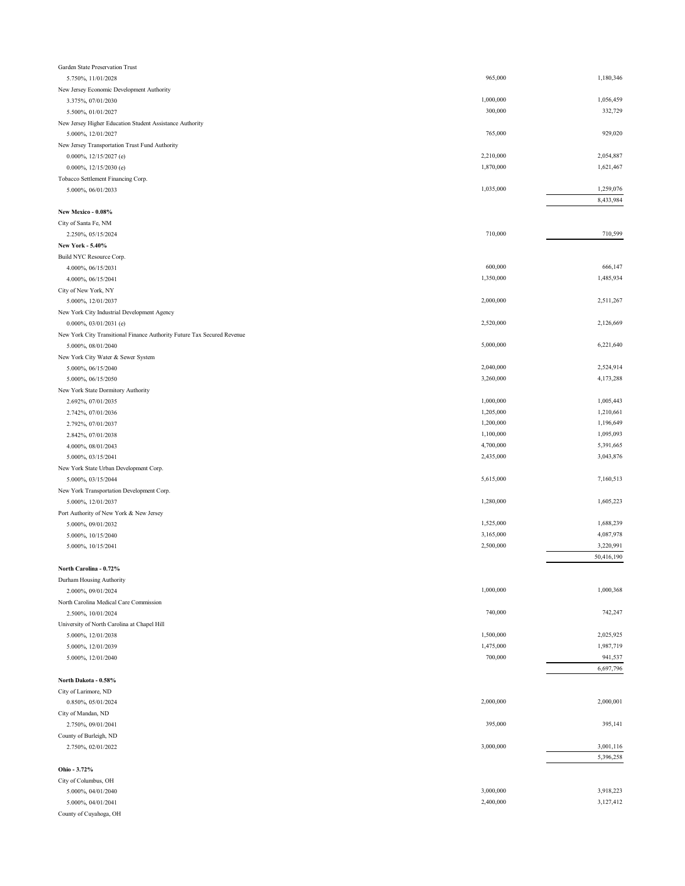| Garden State Preservation Trust                                         |           |            |
|-------------------------------------------------------------------------|-----------|------------|
| 5.750%, 11/01/2028                                                      | 965,000   | 1,180,346  |
| New Jersey Economic Development Authority                               |           |            |
| 3.375%, 07/01/2030                                                      | 1,000,000 | 1,056,459  |
| 5.500%, 01/01/2027                                                      | 300,000   | 332,729    |
| New Jersey Higher Education Student Assistance Authority                |           |            |
| 5.000%, 12/01/2027                                                      | 765,000   | 929,020    |
| New Jersey Transportation Trust Fund Authority                          |           |            |
| 0.000%, 12/15/2027 (e)                                                  | 2,210,000 | 2,054,887  |
| 0.000%, 12/15/2030 (e)                                                  | 1,870,000 | 1,621,467  |
| Tobacco Settlement Financing Corp.                                      |           |            |
| 5.000%, 06/01/2033                                                      | 1,035,000 | 1,259,076  |
|                                                                         |           | 8,433,984  |
| New Mexico - 0.08%                                                      |           |            |
| City of Santa Fe, NM                                                    |           |            |
| 2.250%, 05/15/2024                                                      | 710,000   | 710,599    |
| New York - 5.40%                                                        |           |            |
| Build NYC Resource Corp.                                                |           |            |
| 4.000%, 06/15/2031                                                      | 600,000   | 666,147    |
| 4.000%, 06/15/2041                                                      | 1,350,000 | 1,485,934  |
| City of New York, NY                                                    |           |            |
| 5.000%, 12/01/2037                                                      | 2,000,000 | 2,511,267  |
| New York City Industrial Development Agency                             |           |            |
| $0.000\%, 03/01/2031$ (e)                                               | 2,520,000 | 2,126,669  |
| New York City Transitional Finance Authority Future Tax Secured Revenue |           |            |
| 5.000%, 08/01/2040                                                      | 5,000,000 | 6,221,640  |
| New York City Water & Sewer System                                      |           |            |
| 5.000%, 06/15/2040                                                      | 2,040,000 | 2,524,914  |
| 5.000%, 06/15/2050                                                      | 3,260,000 | 4,173,288  |
| New York State Dormitory Authority                                      |           |            |
| 2.692%, 07/01/2035                                                      | 1,000,000 | 1,005,443  |
| 2.742%, 07/01/2036                                                      | 1,205,000 | 1,210,661  |
| 2.792%, 07/01/2037                                                      | 1,200,000 | 1,196,649  |
| 2.842%, 07/01/2038                                                      | 1,100,000 | 1,095,093  |
| 4.000%, 08/01/2043                                                      | 4,700,000 | 5,391,665  |
| 5.000%, 03/15/2041                                                      | 2,435,000 | 3,043,876  |
| New York State Urban Development Corp.                                  |           |            |
| 5.000%, 03/15/2044                                                      | 5,615,000 | 7,160,513  |
| New York Transportation Development Corp.                               |           |            |
| 5.000%, 12/01/2037                                                      | 1,280,000 | 1,605,223  |
| Port Authority of New York & New Jersey                                 | 1,525,000 | 1,688,239  |
| 5.000%, 09/01/2032                                                      | 3,165,000 | 4,087,978  |
| 5.000%, 10/15/2040                                                      | 2,500,000 | 3,220,991  |
| 5.000%, 10/15/2041                                                      |           | 50,416,190 |
| North Carolina - 0.72%                                                  |           |            |
|                                                                         |           |            |
| Durham Housing Authority<br>2.000%, 09/01/2024                          | 1,000,000 | 1,000,368  |
| North Carolina Medical Care Commission                                  |           |            |
| 2.500%, 10/01/2024                                                      | 740,000   | 742,247    |
| University of North Carolina at Chapel Hill                             |           |            |
| 5.000%, 12/01/2038                                                      | 1,500,000 | 2,025,925  |
| 5.000%, 12/01/2039                                                      | 1,475,000 | 1,987,719  |
| 5.000%, 12/01/2040                                                      | 700,000   | 941,537    |
|                                                                         |           | 6,697,796  |
| North Dakota - 0.58%                                                    |           |            |
| City of Larimore, ND                                                    |           |            |
| 0.850%, 05/01/2024                                                      | 2,000,000 | 2,000,001  |
| City of Mandan, ND                                                      |           |            |
| 2.750%, 09/01/2041                                                      | 395,000   | 395,141    |
| County of Burleigh, ND                                                  |           |            |
| 2.750%, 02/01/2022                                                      | 3,000,000 | 3,001,116  |
|                                                                         |           | 5,396,258  |
| Ohio - 3.72%                                                            |           |            |
| City of Columbus, OH                                                    |           |            |
| 5.000%, 04/01/2040                                                      | 3,000,000 | 3,918,223  |
| 5.000%, 04/01/2041                                                      | 2,400,000 | 3,127,412  |
| County of Cuyahoga, OH                                                  |           |            |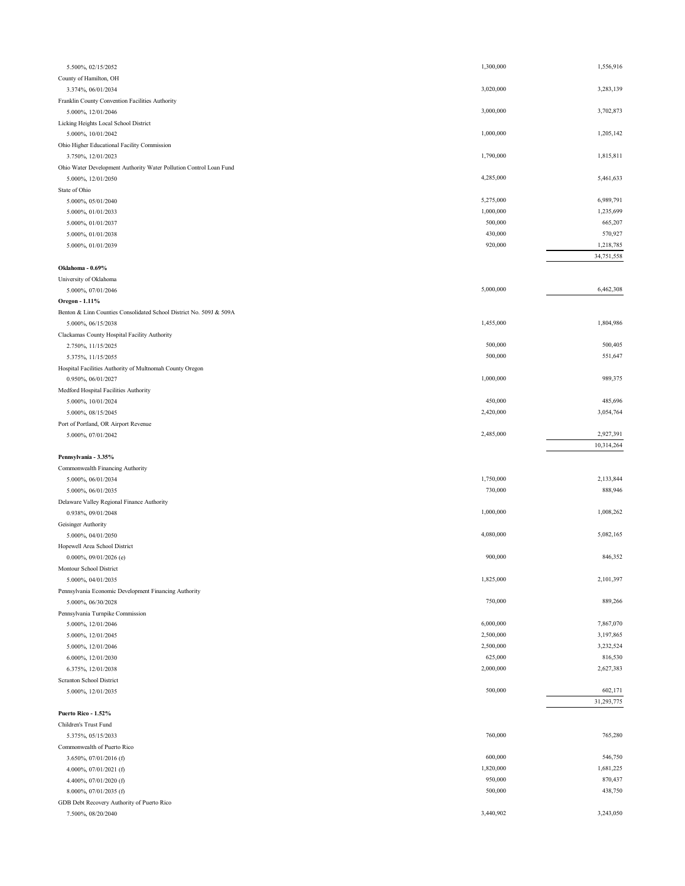| 5.500%, 02/15/2052                                                  | 1,300,000              | 1,556,916              |
|---------------------------------------------------------------------|------------------------|------------------------|
| County of Hamilton, OH                                              |                        |                        |
| 3.374%, 06/01/2034                                                  | 3,020,000              | 3,283,139              |
| Franklin County Convention Facilities Authority                     |                        |                        |
| 5.000%, 12/01/2046                                                  | 3,000,000              | 3,702,873              |
| Licking Heights Local School District                               |                        |                        |
| 5.000%, 10/01/2042                                                  | 1,000,000              | 1,205,142              |
| Ohio Higher Educational Facility Commission                         |                        |                        |
| 3.750%, 12/01/2023                                                  | 1,790,000              | 1,815,811              |
| Ohio Water Development Authority Water Pollution Control Loan Fund  |                        |                        |
| 5.000%, 12/01/2050                                                  | 4,285,000              | 5,461,633              |
| State of Ohio                                                       |                        |                        |
| 5.000%, 05/01/2040                                                  | 5,275,000<br>1,000,000 | 6,989,791<br>1,235,699 |
| 5.000%, 01/01/2033                                                  | 500,000                | 665,207                |
| 5.000%, 01/01/2037                                                  | 430,000                | 570,927                |
| 5.000%, 01/01/2038<br>5.000%, 01/01/2039                            | 920,000                | 1,218,785              |
|                                                                     |                        | 34,751,558             |
| Oklahoma - 0.69%                                                    |                        |                        |
| University of Oklahoma                                              |                        |                        |
| 5.000%, 07/01/2046                                                  | 5,000,000              | 6,462,308              |
| Oregon - 1.11%                                                      |                        |                        |
| Benton & Linn Counties Consolidated School District No. 509J & 509A |                        |                        |
| 5.000%, 06/15/2038                                                  | 1,455,000              | 1,804,986              |
| Clackamas County Hospital Facility Authority                        |                        |                        |
| 2.750%, 11/15/2025                                                  | 500,000                | 500,405                |
| 5.375%, 11/15/2055                                                  | 500,000                | 551,647                |
| Hospital Facilities Authority of Multnomah County Oregon            |                        |                        |
| 0.950%, 06/01/2027                                                  | 1,000,000              | 989,375                |
| Medford Hospital Facilities Authority                               |                        |                        |
| 5.000%, 10/01/2024                                                  | 450,000                | 485,696                |
| 5.000%, 08/15/2045                                                  | 2,420,000              | 3,054,764              |
| Port of Portland, OR Airport Revenue                                |                        |                        |
|                                                                     |                        |                        |
| 5.000%, 07/01/2042                                                  | 2,485,000              | 2,927,391              |
|                                                                     |                        | 10,314,264             |
| Pennsylvania - 3.35%                                                |                        |                        |
| Commonwealth Financing Authority                                    |                        |                        |
| 5.000%, 06/01/2034                                                  | 1,750,000              | 2,133,844              |
| 5.000%, 06/01/2035                                                  | 730,000                | 888,946                |
| Delaware Valley Regional Finance Authority                          |                        |                        |
| 0.938%, 09/01/2048                                                  | 1,000,000              | 1,008,262              |
| Geisinger Authority                                                 |                        |                        |
| 5.000%, 04/01/2050                                                  | 4,080,000              | 5,082,165              |
| Hopewell Area School District                                       |                        |                        |
| $0.000\%, 09/01/2026$ (e)                                           | 900,000                | 846,352                |
| Montour School District                                             |                        |                        |
| 5.000%, 04/01/2035                                                  | 1,825,000              | 2,101,397              |
| Pennsylvania Economic Development Financing Authority               |                        |                        |
| 5.000%, 06/30/2028                                                  | 750,000                | 889,266                |
| Pennsylvania Turnpike Commission                                    | 6,000,000              | 7,867,070              |
| 5.000%, 12/01/2046                                                  |                        |                        |
| 5.000%, 12/01/2045                                                  | 2,500,000              | 3,197,865              |
| 5.000%, 12/01/2046                                                  | 2,500,000<br>625,000   | 3,232,524<br>816,530   |
| 6.000%, 12/01/2030                                                  | 2,000,000              | 2,627,383              |
| 6.375%, 12/01/2038                                                  |                        |                        |
| Scranton School District<br>5.000%, 12/01/2035                      | 500,000                | 602,171                |
|                                                                     |                        | 31,293,775             |
| Puerto Rico - 1.52%                                                 |                        |                        |
| Children's Trust Fund                                               |                        |                        |
| 5.375%, 05/15/2033                                                  | 760,000                | 765,280                |
| Commonwealth of Puerto Rico                                         |                        |                        |
| 3.650%, 07/01/2016 (f)                                              | 600,000                | 546,750                |
| 4.000%, 07/01/2021 (f)                                              | 1,820,000              | 1,681,225              |
| 4.400%, 07/01/2020 (f)                                              | 950,000                | 870,437                |
| 8.000%, 07/01/2035 (f)                                              | 500,000                | 438,750                |
| GDB Debt Recovery Authority of Puerto Rico                          | 3,440,902              | 3,243,050              |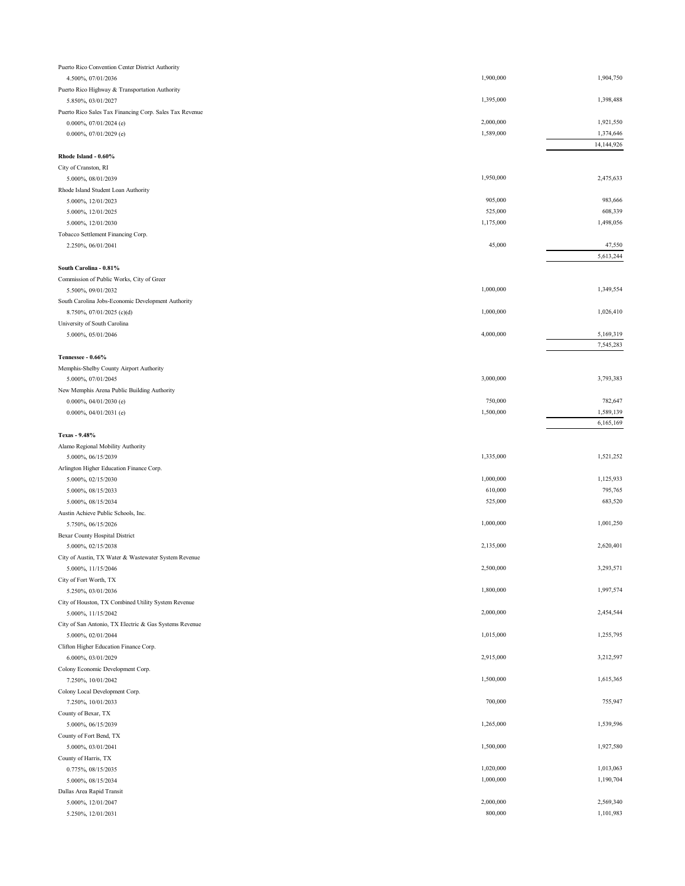| Puerto Rico Convention Center District Authority        |           |            |
|---------------------------------------------------------|-----------|------------|
| 4.500%, 07/01/2036                                      | 1,900,000 | 1,904,750  |
| Puerto Rico Highway & Transportation Authority          |           |            |
| 5.850%, 03/01/2027                                      | 1,395,000 | 1,398,488  |
| Puerto Rico Sales Tax Financing Corp. Sales Tax Revenue |           |            |
| 0.000%, 07/01/2024 (e)                                  | 2,000,000 | 1,921,550  |
| 0.000%, 07/01/2029 (e)                                  | 1,589,000 | 1,374,646  |
|                                                         |           | 14,144,926 |
| Rhode Island - 0.60%                                    |           |            |
| City of Cranston, RI                                    |           |            |
| 5.000%, 08/01/2039                                      | 1,950,000 | 2,475,633  |
| Rhode Island Student Loan Authority                     |           |            |
| 5.000%, 12/01/2023                                      | 905,000   | 983,666    |
| 5.000%, 12/01/2025                                      | 525,000   | 608,339    |
| 5.000%, 12/01/2030                                      | 1,175,000 | 1,498,056  |
| Tobacco Settlement Financing Corp.                      |           |            |
| 2.250%, 06/01/2041                                      | 45,000    | 47,550     |
|                                                         |           | 5,613,244  |
| South Carolina - 0.81%                                  |           |            |
| Commission of Public Works, City of Greer               |           |            |
|                                                         | 1,000,000 | 1,349,554  |
| 5.500%, 09/01/2032                                      |           |            |
| South Carolina Jobs-Economic Development Authority      |           |            |
| 8.750%, 07/01/2025 (c)(d)                               | 1,000,000 | 1,026,410  |
| University of South Carolina                            |           |            |
| 5.000%, 05/01/2046                                      | 4,000,000 | 5,169,319  |
|                                                         |           | 7,545,283  |
| Tennessee - 0.66%                                       |           |            |
| Memphis-Shelby County Airport Authority                 |           |            |
| 5.000%, 07/01/2045                                      | 3,000,000 | 3,793,383  |
| New Memphis Arena Public Building Authority             |           |            |
| 0.000%, 04/01/2030 (e)                                  | 750,000   | 782,647    |
| 0.000%, 04/01/2031 (e)                                  | 1,500,000 | 1,589,139  |
|                                                         |           | 6,165,169  |
| Texas - 9.48%                                           |           |            |
| Alamo Regional Mobility Authority                       |           |            |
| 5.000%, 06/15/2039                                      | 1,335,000 | 1,521,252  |
| Arlington Higher Education Finance Corp.                |           |            |
| 5.000%, 02/15/2030                                      | 1,000,000 | 1,125,933  |
| 5.000%, 08/15/2033                                      | 610,000   | 795,765    |
| 5.000%, 08/15/2034                                      | 525,000   | 683,520    |
| Austin Achieve Public Schools, Inc.                     |           |            |
| 5.750%, 06/15/2026                                      | 1,000,000 | 1,001,250  |
| <b>Bexar County Hospital District</b>                   |           |            |
| 5.000%, 02/15/2038                                      | 2,135,000 | 2,620,401  |
| City of Austin, TX Water & Wastewater System Revenue    |           |            |
| 5.000%, 11/15/2046                                      | 2,500,000 | 3,293,571  |
| City of Fort Worth, TX                                  |           |            |
| 5.250%, 03/01/2036                                      | 1,800,000 | 1,997,574  |
| City of Houston, TX Combined Utility System Revenue     |           |            |
| 5.000%, 11/15/2042                                      | 2,000,000 | 2,454,544  |
| City of San Antonio, TX Electric & Gas Systems Revenue  |           |            |
| 5.000%, 02/01/2044                                      | 1,015,000 | 1,255,795  |
| Clifton Higher Education Finance Corp.                  |           |            |
| 6.000%, 03/01/2029                                      | 2,915,000 | 3,212,597  |
|                                                         |           |            |
| Colony Economic Development Corp.<br>7.250%, 10/01/2042 | 1,500,000 | 1,615,365  |
|                                                         |           |            |
| Colony Local Development Corp.                          |           |            |
| 7.250%, 10/01/2033                                      | 700,000   | 755,947    |
| County of Bexar, TX                                     |           |            |
| 5.000%, 06/15/2039                                      | 1,265,000 | 1,539,596  |
| County of Fort Bend, TX                                 |           |            |
| 5.000%, 03/01/2041                                      | 1,500,000 | 1,927,580  |
| County of Harris, TX                                    |           |            |
| 0.775%, 08/15/2035                                      | 1,020,000 | 1,013,063  |
| 5.000%, 08/15/2034                                      | 1,000,000 | 1,190,704  |
| Dallas Area Rapid Transit                               |           |            |
| 5.000%, 12/01/2047                                      | 2,000,000 | 2,569,340  |
| 5.250%, 12/01/2031                                      | 800,000   | 1,101,983  |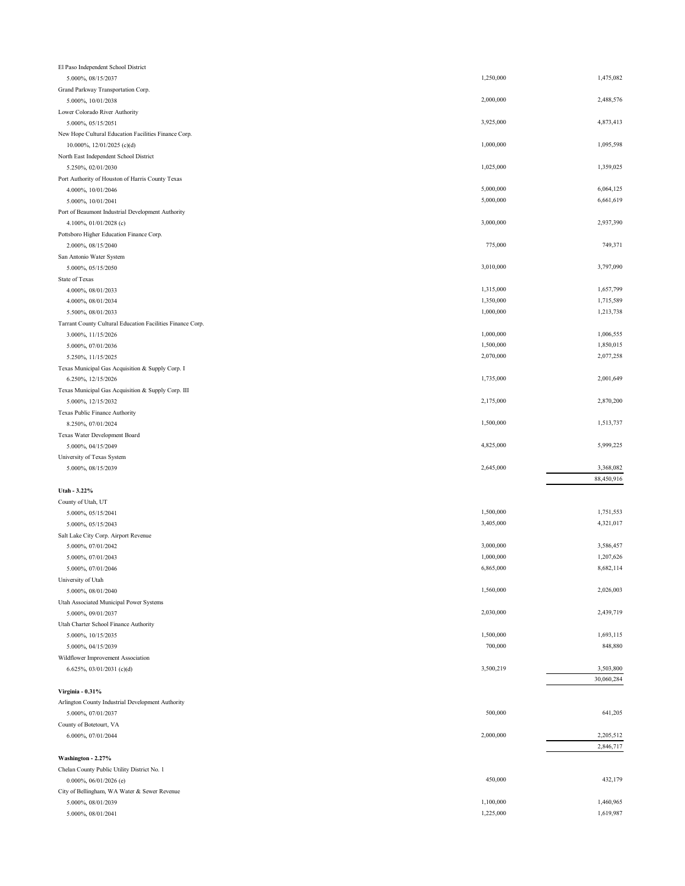| El Paso Independent School District                        |                        |                        |
|------------------------------------------------------------|------------------------|------------------------|
| 5.000%, 08/15/2037                                         | 1,250,000              | 1,475,082              |
| Grand Parkway Transportation Corp.                         |                        |                        |
| 5.000%, 10/01/2038                                         | 2,000,000              | 2,488,576              |
| Lower Colorado River Authority                             |                        |                        |
| 5.000%, 05/15/2051                                         | 3,925,000              | 4,873,413              |
| New Hope Cultural Education Facilities Finance Corp.       |                        |                        |
| 10.000%, 12/01/2025 (c)(d)                                 | 1,000,000              | 1,095,598              |
| North East Independent School District                     |                        |                        |
| 5.250%, 02/01/2030                                         | 1,025,000              | 1,359,025              |
| Port Authority of Houston of Harris County Texas           |                        |                        |
| 4.000%, 10/01/2046                                         | 5,000,000              | 6,064,125              |
| 5.000%, 10/01/2041                                         | 5,000,000              | 6,661,619              |
| Port of Beaumont Industrial Development Authority          |                        |                        |
| 4.100%, 01/01/2028 (c)                                     | 3,000,000              | 2,937,390              |
| Pottsboro Higher Education Finance Corp.                   |                        |                        |
| 2.000%, 08/15/2040                                         | 775,000                | 749,371                |
| San Antonio Water System                                   |                        |                        |
| 5.000%, 05/15/2050                                         | 3,010,000              | 3,797,090              |
| State of Texas                                             |                        |                        |
| 4.000%, 08/01/2033                                         | 1,315,000              | 1,657,799              |
| 4.000%, 08/01/2034                                         | 1,350,000              | 1,715,589              |
| 5.500%, 08/01/2033                                         | 1,000,000              | 1,213,738              |
| Tarrant County Cultural Education Facilities Finance Corp. |                        |                        |
| 3.000%, 11/15/2026                                         | 1,000,000              | 1,006,555              |
| 5.000%, 07/01/2036                                         | 1,500,000              | 1,850,015              |
| 5.250%, 11/15/2025                                         | 2,070,000              | 2,077,258              |
| Texas Municipal Gas Acquisition & Supply Corp. I           |                        |                        |
| 6.250%, 12/15/2026                                         | 1,735,000              | 2,001,649              |
| Texas Municipal Gas Acquisition & Supply Corp. III         |                        |                        |
| 5.000%, 12/15/2032                                         | 2,175,000              | 2,870,200              |
| Texas Public Finance Authority                             |                        |                        |
| 8.250%, 07/01/2024                                         | 1,500,000              | 1,513,737              |
|                                                            |                        |                        |
|                                                            |                        |                        |
| Texas Water Development Board                              | 4,825,000              | 5,999,225              |
| 5.000%, 04/15/2049                                         |                        |                        |
| University of Texas System                                 | 2,645,000              | 3,368,082              |
| 5.000%, 08/15/2039                                         |                        |                        |
|                                                            |                        | 88,450,916             |
| Utah - 3.22%                                               |                        |                        |
| County of Utah, UT                                         | 1,500,000              | 1,751,553              |
| 5.000%, 05/15/2041                                         |                        |                        |
| 5.000%, 05/15/2043                                         | 3,405,000              | 4,321,017              |
| Salt Lake City Corp. Airport Revenue                       |                        |                        |
| 5.000%, 07/01/2042                                         | 3,000,000              | 3,586,457              |
| 5.000%, 07/01/2043                                         | 1,000,000              | 1,207,626              |
| 5.000%, 07/01/2046                                         | 6,865,000              | 8,682,114              |
| University of Utah                                         |                        |                        |
| 5.000%, 08/01/2040                                         | 1,560,000              | 2,026,003              |
| Utah Associated Municipal Power Systems                    |                        |                        |
| 5.000%, 09/01/2037                                         | 2,030,000              | 2,439,719              |
| Utah Charter School Finance Authority                      |                        |                        |
| 5.000%, 10/15/2035                                         | 1,500,000              | 1,693,115              |
| 5.000%, 04/15/2039                                         | 700,000                | 848,880                |
| Wildflower Improvement Association                         |                        |                        |
| 6.625%, 03/01/2031 (c)(d)                                  | 3,500,219              | 3,503,800              |
|                                                            |                        | 30,060,284             |
| Virginia - 0.31%                                           |                        |                        |
| Arlington County Industrial Development Authority          |                        |                        |
| 5.000%, 07/01/2037                                         | 500,000                | 641,205                |
| County of Botetourt, VA                                    |                        |                        |
| 6.000%, 07/01/2044                                         | 2,000,000              | 2,205,512              |
|                                                            |                        | 2,846,717              |
| Washington - 2.27%                                         |                        |                        |
| Chelan County Public Utility District No. 1                |                        |                        |
| $0.000\%, 06/01/2026$ (e)                                  | 450,000                | 432,179                |
| City of Bellingham, WA Water & Sewer Revenue               |                        |                        |
| 5.000%, 08/01/2039<br>5.000%, 08/01/2041                   | 1,100,000<br>1,225,000 | 1,460,965<br>1,619,987 |